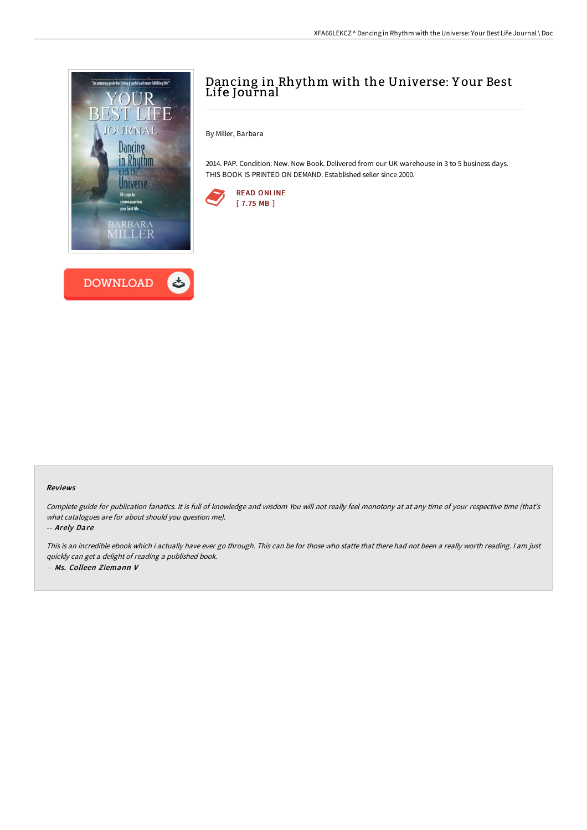



# Dancing in Rhythm with the Universe: Y our Best Life Journal

By Miller, Barbara

2014. PAP. Condition: New. New Book. Delivered from our UK warehouse in 3 to 5 business days. THIS BOOK IS PRINTED ON DEMAND. Established seller since 2000.



#### Reviews

Complete guide for publication fanatics. It is full of knowledge and wisdom You will not really feel monotony at at any time of your respective time (that's what catalogues are for about should you question me).

-- Arely Dare

This is an incredible ebook which i actually have ever go through. This can be for those who statte that there had not been <sup>a</sup> really worth reading. <sup>I</sup> am just quickly can get <sup>a</sup> delight of reading <sup>a</sup> published book. -- Ms. Colleen Ziemann V